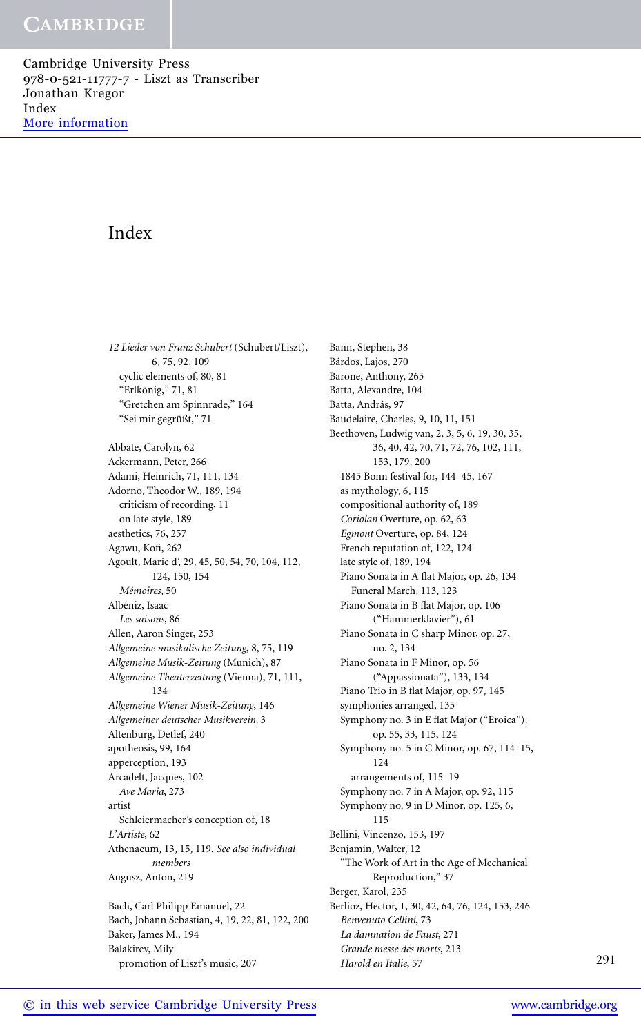Cambridge University Press 978-0-521-11777-7 - Liszt as Transcriber Jonathan Kregor Index [More information](http://www.cambridge.org/9780521117777)

# Index

*12 Lieder von Franz Schubert* (Schubert/Liszt), 6, 75, 92, 109 cyclic elements of, 80, 81 "Erlkönig," 71, 81 "Gretchen am Spinnrade," 164 "Sei mir gegrüßt," 71 Abbate, Carolyn, 62 Ackermann, Peter, 266 Adami, Heinrich, 71, 111, 134 Adorno, Theodor W., 189, 194 criticism of recording, 11 on late style, 189 aesthetics, 76, 257 Agawu, Kofi, 262 Agoult, Marie d', 29, 45, 50, 54, 70, 104, 112, 124, 150, 154 *M´emoires*, 50 Albéniz, Isaac *Les saisons*, 86 Allen, Aaron Singer, 253 *Allgemeine musikalische Zeitung*, 8, 75, 119 *Allgemeine Musik-Zeitung* (Munich), 87 *Allgemeine Theaterzeitung* (Vienna), 71, 111, 134 *Allgemeine Wiener Musik-Zeitung*, 146 *Allgemeiner deutscher Musikverein*, 3 Altenburg, Detlef, 240 apotheosis, 99, 164 apperception, 193 Arcadelt, Jacques, 102 *Ave Maria*, 273 artist Schleiermacher's conception of, 18 *L'Artiste*, 62 Athenaeum, 13, 15, 119. *See also individual members* Augusz, Anton, 219 Bach, Carl Philipp Emanuel, 22 Bach, Johann Sebastian, 4, 19, 22, 81, 122, 200 Baker, James M., 194 Balakirev, Mily promotion of Liszt's music, 207

Bann, Stephen, 38 Bárdos, Lajos, 270 Barone, Anthony, 265 Batta, Alexandre, 104 Batta, András, 97 Baudelaire, Charles, 9, 10, 11, 151 Beethoven, Ludwig van, 2, 3, 5, 6, 19, 30, 35, 36, 40, 42, 70, 71, 72, 76, 102, 111, 153, 179, 200 1845 Bonn festival for, 144–45, 167 as mythology, 6, 115 compositional authority of, 189 *Coriolan* Overture, op. 62, 63 *Egmont* Overture, op. 84, 124 French reputation of, 122, 124 late style of, 189, 194 Piano Sonata in A flat Major, op. 26, 134 Funeral March, 113, 123 Piano Sonata in B flat Major, op. 106 ("Hammerklavier"), 61 Piano Sonata in C sharp Minor, op. 27, no. 2, 134 Piano Sonata in F Minor, op. 56 ("Appassionata"), 133, 134 Piano Trio in B flat Major, op. 97, 145 symphonies arranged, 135 Symphony no. 3 in E flat Major ("Eroica"), op. 55, 33, 115, 124 Symphony no. 5 in C Minor, op. 67, 114–15, 124 arrangements of, 115–19 Symphony no. 7 in A Major, op. 92, 115 Symphony no. 9 in D Minor, op. 125, 6, 115 Bellini, Vincenzo, 153, 197 Benjamin, Walter, 12 "The Work of Art in the Age of Mechanical Reproduction," 37 Berger, Karol, 235 Berlioz, Hector, 1, 30, 42, 64, 76, 124, 153, 246 *Benvenuto Cellini*, 73 *La damnation de Faust*, 271 *Grande messe des morts*, 213 *Harold en Italie*, 57 291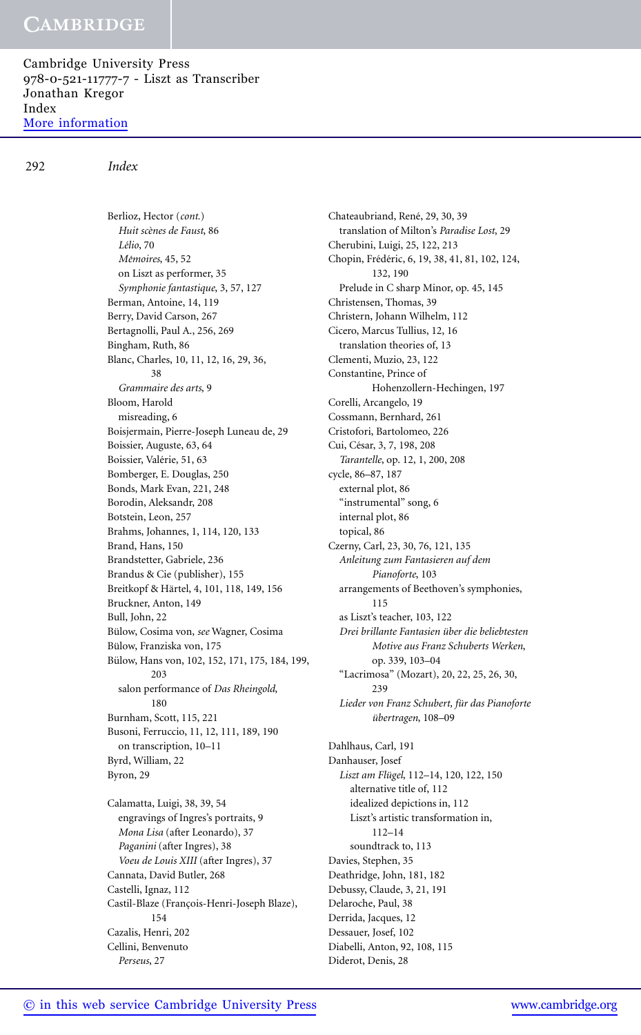Cambridge University Press 978-0-521-11777-7 - Liszt as Transcriber Jonathan Kregor Index [More information](http://www.cambridge.org/9780521117777)

292 *Index*

Berlioz, Hector (*cont.*) *Huit sc`enes de Faust*, 86 *L´elio*, 70 *M´emoires*, 45, 52 on Liszt as performer, 35 *Symphonie fantastique*, 3, 57, 127 Berman, Antoine, 14, 119 Berry, David Carson, 267 Bertagnolli, Paul A., 256, 269 Bingham, Ruth, 86 Blanc, Charles, 10, 11, 12, 16, 29, 36, 38 *Grammaire des arts*, 9 Bloom, Harold misreading, 6 Boisjermain, Pierre-Joseph Luneau de, 29 Boissier, Auguste, 63, 64 Boissier, Valérie, 51, 63 Bomberger, E. Douglas, 250 Bonds, Mark Evan, 221, 248 Borodin, Aleksandr, 208 Botstein, Leon, 257 Brahms, Johannes, 1, 114, 120, 133 Brand, Hans, 150 Brandstetter, Gabriele, 236 Brandus & Cie (publisher), 155 Breitkopf & Härtel, 4, 101, 118, 149, 156 Bruckner, Anton, 149 Bull, John, 22 Bülow, Cosima von, see Wagner, Cosima Bülow, Franziska von, 175 Bülow, Hans von, 102, 152, 171, 175, 184, 199, 203 salon performance of *Das Rheingold*, 180 Burnham, Scott, 115, 221 Busoni, Ferruccio, 11, 12, 111, 189, 190 on transcription, 10–11 Byrd, William, 22 Byron, 29 Calamatta, Luigi, 38, 39, 54 engravings of Ingres's portraits, 9 *Mona Lisa* (after Leonardo), 37 *Paganini* (after Ingres), 38 *Voeu de Louis XIII* (after Ingres), 37 Cannata, David Butler, 268 Castelli, Ignaz, 112

Chateaubriand, René, 29, 30, 39 translation of Milton's *Paradise Lost*, 29 Cherubini, Luigi, 25, 122, 213 Chopin, Frédéric, 6, 19, 38, 41, 81, 102, 124, 132, 190 Prelude in C sharp Minor, op. 45, 145 Christensen, Thomas, 39 Christern, Johann Wilhelm, 112 Cicero, Marcus Tullius, 12, 16 translation theories of, 13 Clementi, Muzio, 23, 122 Constantine, Prince of Hohenzollern-Hechingen, 197 Corelli, Arcangelo, 19 Cossmann, Bernhard, 261 Cristofori, Bartolomeo, 226 Cui, César, 3, 7, 198, 208 *Tarantelle*, op. 12, 1, 200, 208 cycle, 86–87, 187 external plot, 86 "instrumental" song, 6 internal plot, 86 topical, 86 Czerny, Carl, 23, 30, 76, 121, 135 *Anleitung zum Fantasieren auf dem Pianoforte*, 103 arrangements of Beethoven's symphonies, 115 as Liszt's teacher, 103, 122 *Drei brillante Fantasien uber die beliebtesten ¨ Motive aus Franz Schuberts Werken*, op. 339, 103–04 "Lacrimosa" (Mozart), 20, 22, 25, 26, 30, 239 *Lieder von Franz Schubert, fur das Pianoforte ¨ übertragen*, 108–09 Dahlhaus, Carl, 191 Danhauser, Josef Liszt am Flügel, 112-14, 120, 122, 150 alternative title of, 112 idealized depictions in, 112 Liszt's artistic transformation in, 112–14 soundtrack to, 113 Davies, Stephen, 35 Deathridge, John, 181, 182 Debussy, Claude, 3, 21, 191 Delaroche, Paul, 38 Derrida, Jacques, 12 Dessauer, Josef, 102 Diabelli, Anton, 92, 108, 115

Diderot, Denis, 28

154 Cazalis, Henri, 202 Cellini, Benvenuto *Perseus*, 27

Castil-Blaze (François-Henri-Joseph Blaze),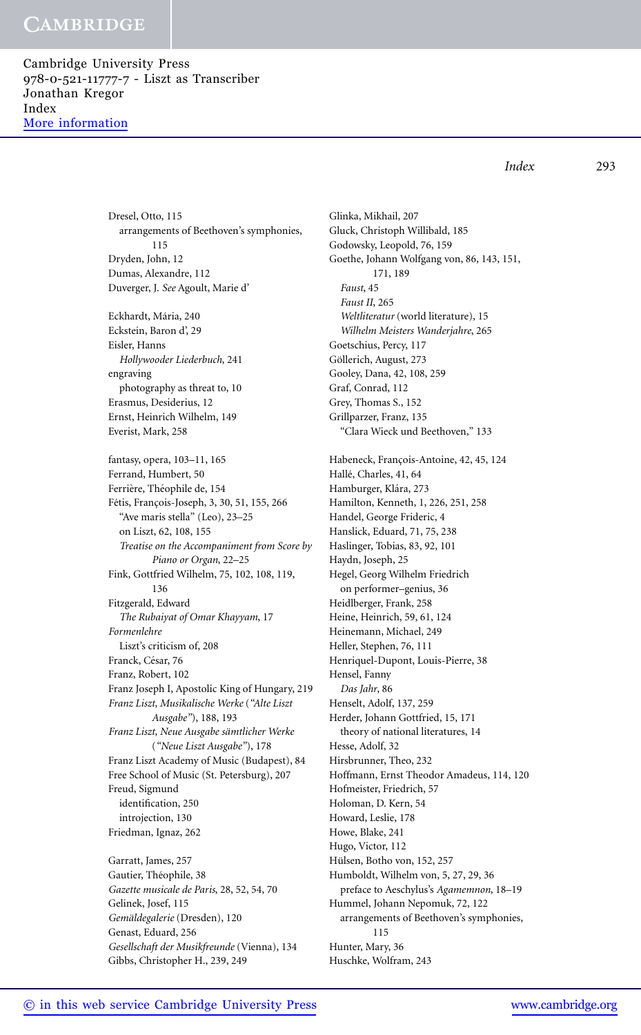Cambridge University Press 978-0-521-11777-7 - Liszt as Transcriber Jonathan Kregor Index [More information](http://www.cambridge.org/9780521117777)

*Index* 293

Dresel, Otto, 115 arrangements of Beethoven's symphonies, 115 Dryden, John, 12 Dumas, Alexandre, 112 Duverger, J. *See* Agoult, Marie d'

Eckhardt, Mária, 240 Eckstein, Baron d', 29 Eisler, Hanns *Hollywooder Liederbuch*, 241 engraving photography as threat to, 10 Erasmus, Desiderius, 12 Ernst, Heinrich Wilhelm, 149 Everist, Mark, 258

fantasy, opera, 103–11, 165 Ferrand, Humbert, 50 Ferrière, Théophile de, 154 Fétis, François-Joseph, 3, 30, 51, 155, 266 "Ave maris stella" (Leo), 23–25 on Liszt, 62, 108, 155 *Treatise on the Accompaniment from Score by Piano or Organ*, 22–25 Fink, Gottfried Wilhelm, 75, 102, 108, 119, 136 Fitzgerald, Edward *The Rubaiyat of Omar Khayyam*, 17 *Formenlehre* Liszt's criticism of, 208 Franck, César, 76 Franz, Robert, 102 Franz Joseph I, Apostolic King of Hungary, 219 *Franz Liszt, Musikalische Werke* (*"Alte Liszt Ausgabe"*), 188, 193 *Franz Liszt, Neue Ausgabe samtlicher Werke ¨* (*"Neue Liszt Ausgabe"*), 178 Franz Liszt Academy of Music (Budapest), 84 Free School of Music (St. Petersburg), 207 Freud, Sigmund identification, 250 introjection, 130 Friedman, Ignaz, 262

Garratt, James, 257 Gautier, Théophile, 38 *Gazette musicale de Paris*, 28, 52, 54, 70 Gelinek, Josef, 115 *Gemaldegalerie ¨* (Dresden), 120 Genast, Eduard, 256 *Gesellschaft der Musikfreunde* (Vienna), 134 Gibbs, Christopher H., 239, 249

Glinka, Mikhail, 207 Gluck, Christoph Willibald, 185 Godowsky, Leopold, 76, 159 Goethe, Johann Wolfgang von, 86, 143, 151, 171, 189 *Faust*, 45 *Faust II*, 265 *Weltliteratur* (world literature), 15 *Wilhelm Meisters Wanderjahre*, 265 Goetschius, Percy, 117 Göllerich, August, 273 Gooley, Dana, 42, 108, 259 Graf, Conrad, 112 Grey, Thomas S., 152 Grillparzer, Franz, 135 "Clara Wieck und Beethoven," 133 Habeneck, Francois-Antoine, 42, 45, 124 Hallé, Charles, 41, 64 Hamburger, Klára, 273 Hamilton, Kenneth, 1, 226, 251, 258 Handel, George Frideric, 4 Hanslick, Eduard, 71, 75, 238 Haslinger, Tobias, 83, 92, 101 Haydn, Joseph, 25 Hegel, Georg Wilhelm Friedrich on performer–genius, 36 Heidlberger, Frank, 258 Heine, Heinrich, 59, 61, 124 Heinemann, Michael, 249 Heller, Stephen, 76, 111 Henriquel-Dupont, Louis-Pierre, 38 Hensel, Fanny *Das Jahr*, 86 Henselt, Adolf, 137, 259 Herder, Johann Gottfried, 15, 171 theory of national literatures, 14 Hesse, Adolf, 32 Hirsbrunner, Theo, 232 Hoffmann, Ernst Theodor Amadeus, 114, 120 Hofmeister, Friedrich, 57 Holoman, D. Kern, 54 Howard, Leslie, 178 Howe, Blake, 241 Hugo, Victor, 112 Hülsen, Botho von, 152, 257 Humboldt, Wilhelm von, 5, 27, 29, 36 preface to Aeschylus's *Agamemnon*, 18–19 Hummel, Johann Nepomuk, 72, 122 arrangements of Beethoven's symphonies, 115 Hunter, Mary, 36 Huschke, Wolfram, 243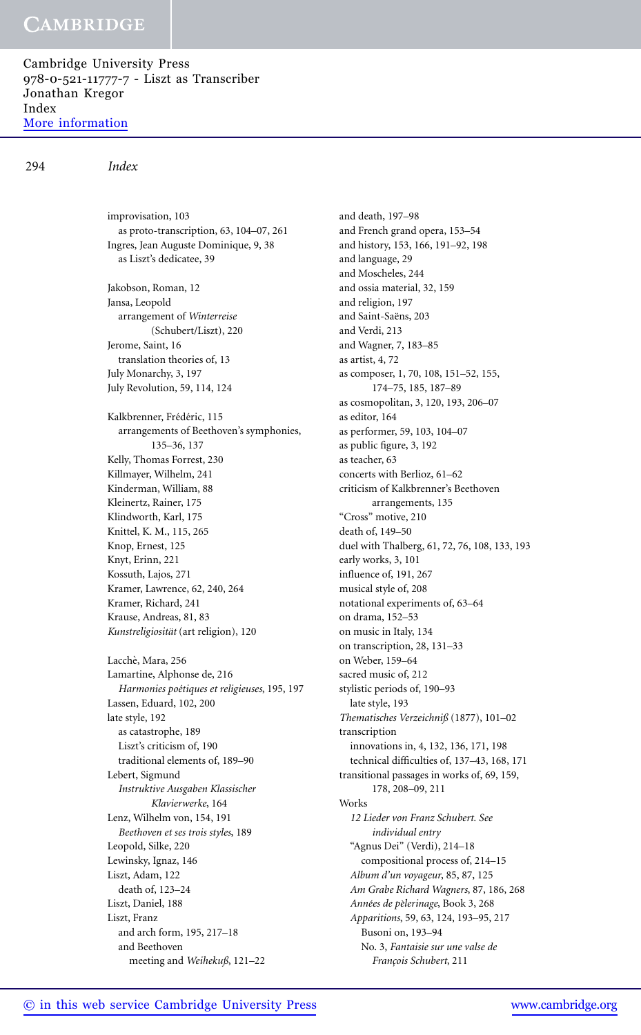Cambridge University Press 978-0-521-11777-7 - Liszt as Transcriber Jonathan Kregor Index [More information](http://www.cambridge.org/9780521117777)

improvisation, 103

### 294 *Index*

as proto-transcription, 63, 104–07, 261 Ingres, Jean Auguste Dominique, 9, 38 as Liszt's dedicatee, 39 Jakobson, Roman, 12 Jansa, Leopold arrangement of *Winterreise* (Schubert/Liszt), 220 Jerome, Saint, 16 translation theories of, 13 July Monarchy, 3, 197 July Revolution, 59, 114, 124 Kalkbrenner, Frédéric, 115 arrangements of Beethoven's symphonies, 135–36, 137 Kelly, Thomas Forrest, 230 Killmayer, Wilhelm, 241 Kinderman, William, 88 Kleinertz, Rainer, 175 Klindworth, Karl, 175 Knittel, K. M., 115, 265 Knop, Ernest, 125 Knyt, Erinn, 221 Kossuth, Lajos, 271 Kramer, Lawrence, 62, 240, 264 Kramer, Richard, 241 Krause, Andreas, 81, 83 *Kunstreligiositat ¨* (art religion), 120 Lacchè, Mara, 256 Lamartine, Alphonse de, 216 *Harmonies po´etiques et religieuses*, 195, 197 Lassen, Eduard, 102, 200 late style, 192 as catastrophe, 189 Liszt's criticism of, 190 traditional elements of, 189–90 Lebert, Sigmund *Instruktive Ausgaben Klassischer Klavierwerke*, 164 Lenz, Wilhelm von, 154, 191 *Beethoven et ses trois styles*, 189 Leopold, Silke, 220 Lewinsky, Ignaz, 146 Liszt, Adam, 122 death of, 123–24 Liszt, Daniel, 188 Liszt, Franz and arch form, 195, 217–18 and Beethoven meeting and *Weihekuß*, 121–22

and death, 197–98 and French grand opera, 153–54 and history, 153, 166, 191–92, 198 and language, 29 and Moscheles, 244 and ossia material, 32, 159 and religion, 197 and Saint-Saëns, 203 and Verdi, 213 and Wagner, 7, 183–85 as artist, 4, 72 as composer, 1, 70, 108, 151–52, 155, 174–75, 185, 187–89 as cosmopolitan, 3, 120, 193, 206–07 as editor, 164 as performer, 59, 103, 104–07 as public figure, 3, 192 as teacher, 63 concerts with Berlioz, 61–62 criticism of Kalkbrenner's Beethoven arrangements, 135 "Cross" motive, 210 death of, 149–50 duel with Thalberg, 61, 72, 76, 108, 133, 193 early works, 3, 101 influence of, 191, 267 musical style of, 208 notational experiments of, 63–64 on drama, 152–53 on music in Italy, 134 on transcription, 28, 131–33 on Weber, 159–64 sacred music of, 212 stylistic periods of, 190–93 late style, 193 *Thematisches Verzeichniß* (1877), 101–02 transcription innovations in, 4, 132, 136, 171, 198 technical difficulties of, 137–43, 168, 171 transitional passages in works of, 69, 159, 178, 208–09, 211 Works *12 Lieder von Franz Schubert. See individual entry* "Agnus Dei" (Verdi), 214–18 compositional process of, 214–15 *Album d'un voyageur*, 85, 87, 125 *Am Grabe Richard Wagners*, 87, 186, 268 *Ann´ees de p`elerinage*, Book 3, 268 *Apparitions*, 59, 63, 124, 193–95, 217 Busoni on, 193–94 No. 3, *Fantaisie sur une valse de Franc¸ois Schubert*, 211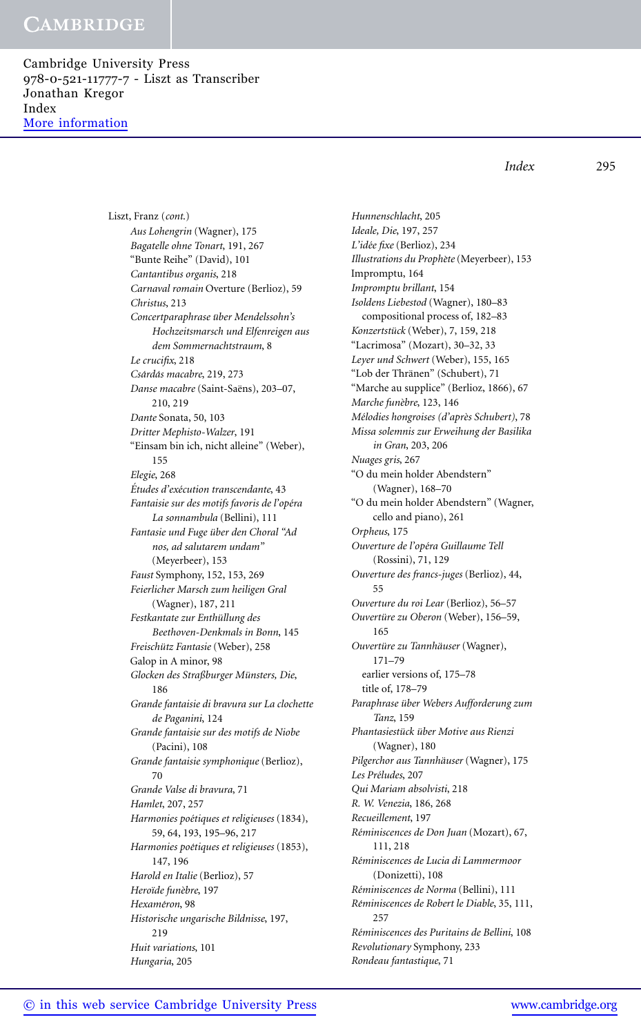Cambridge University Press 978-0-521-11777-7 - Liszt as Transcriber Jonathan Kregor Index [More information](http://www.cambridge.org/9780521117777)

> Liszt, Franz (*cont*.) *Aus Lohengrin* (Wagner), 175 *Bagatelle ohne Tonart*, 191, 267 "Bunte Reihe" (David), 101 *Cantantibus organis*, 218 *Carnaval romain* Overture (Berlioz), 59 *Christus*, 213 *Concertparaphrase uber Mendelssohn's ¨ Hochzeitsmarsch und Elfenreigen aus dem Sommernachtstraum*, 8 *Le crucifix*, 218 *Csard ´ as macabre ´* , 219, 273 *Danse macabre* (Saint-Saëns), 203-07, 210, 219 *Dante* Sonata, 50, 103 *Dritter Mephisto-Walzer*, 191 "Einsam bin ich, nicht alleine" (Weber), 155 *Elegie*, 268 *Etudes d'ex ´ ´ecution transcendante*, 43 *Fantaisie sur des motifs favoris de l'op´era La sonnambula* (Bellini), 111 *Fantasie und Fuge uber den Choral "Ad ¨ nos, ad salutarem undam"* (Meyerbeer), 153 *Faust* Symphony, 152, 153, 269 *Feierlicher Marsch zum heiligen Gral* (Wagner), 187, 211 *Festkantate zur Enthullung des ¨ Beethoven-Denkmals in Bonn*, 145 *Freischutz Fantasie ¨* (Weber), 258 Galop in A minor, 98 *Glocken des Straßburger Munsters, Die ¨* , 186 *Grande fantaisie di bravura sur La clochette de Paganini*, 124 *Grande fantaisie sur des motifs de Niobe* (Pacini), 108 *Grande fantaisie symphonique* (Berlioz), 70 *Grande Valse di bravura*, 71 *Hamlet*, 207, 257 *Harmonies po´etiques et religieuses* (1834), 59, 64, 193, 195–96, 217 *Harmonies po´etiques et religieuses* (1853), 147, 196 *Harold en Italie* (Berlioz), 57 *Hero¨ıde fun`ebre*, 197 *Hexam´eron*, 98 *Historische ungarische Bildnisse*, 197, 219 *Huit variations*, 101

*Hunnenschlacht*, 205 *Ideale, Die*, 197, 257 *L'id´ee fixe* (Berlioz), 234 *Illustrations du Proph`ete* (Meyerbeer), 153 Impromptu, 164 *Impromptu brillant*, 154 *Isoldens Liebestod* (Wagner), 180–83 compositional process of, 182–83 *Konzertstuck ¨* (Weber), 7, 159, 218 "Lacrimosa" (Mozart), 30–32, 33 *Leyer und Schwert* (Weber), 155, 165 "Lob der Thränen" (Schubert), 71 "Marche au supplice" (Berlioz, 1866), 67 *Marche fun`ebre*, 123, 146 *M´elodies hongroises (d'apr`es Schubert)*, 78 *Missa solemnis zur Erweihung der Basilika in Gran*, 203, 206 *Nuages gris*, 267 "O du mein holder Abendstern" (Wagner), 168–70 "O du mein holder Abendstern" (Wagner, cello and piano), 261 *Orpheus*, 175 *Ouverture de l'op´era Guillaume Tell* (Rossini), 71, 129 *Ouverture des francs-juges* (Berlioz), 44, 55 *Ouverture du roi Lear* (Berlioz), 56–57 *Ouverture zu Oberon ¨* (Weber), 156–59, 165 *Ouverture zu Tannh ¨ auser ¨* (Wagner), 171–79 earlier versions of, 175–78 title of, 178–79 *Paraphrase uber Webers Aufforderung zum ¨ Tanz*, 159 *Phantasiestuck ¨ uber Motive aus Rienzi ¨* (Wagner), 180 *Pilgerchor aus Tannhauser ¨* (Wagner), 175 *Les Pr´eludes*, 207 *Qui Mariam absolvisti*, 218 *R. W. Venezia*, 186, 268 *Recueillement*, 197 *R´eminiscences de Don Juan* (Mozart), 67, 111, 218 *R´eminiscences de Lucia di Lammermoor* (Donizetti), 108 *R´eminiscences de Norma* (Bellini), 111 *R´eminiscences de Robert le Diable*, 35, 111, 257 *R´eminiscences des Puritains de Bellini*, 108 *Revolutionary* Symphony, 233 *Rondeau fantastique*, 71

*Index* 295

*Hungaria*, 205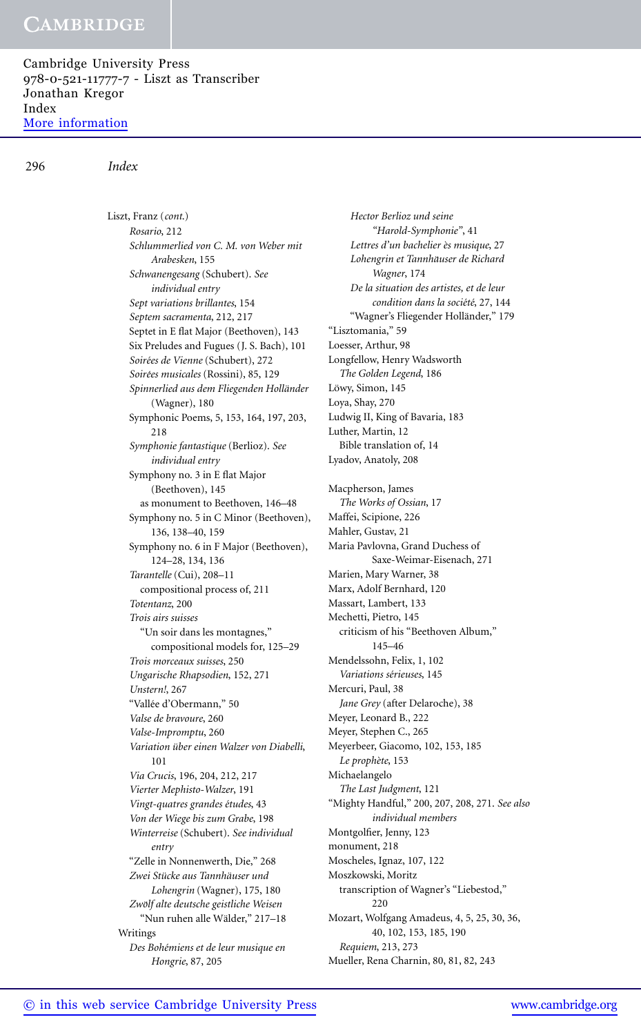Cambridge University Press 978-0-521-11777-7 - Liszt as Transcriber Jonathan Kregor Index [More information](http://www.cambridge.org/9780521117777)

#### 296 *Index*

Liszt, Franz (*cont*.) *Rosario*, 212 *Schlummerlied von C. M. von Weber mit Arabesken*, 155 *Schwanengesang* (Schubert). *See individual entry Sept variations brillantes*, 154 *Septem sacramenta*, 212, 217 Septet in E flat Major (Beethoven), 143 Six Preludes and Fugues (J. S. Bach), 101 *Soir´ees de Vienne* (Schubert), 272 *Soir´ees musicales* (Rossini), 85, 129 *Spinnerlied aus dem Fliegenden Hollander ¨* (Wagner), 180 Symphonic Poems, 5, 153, 164, 197, 203, 218 *Symphonie fantastique* (Berlioz). *See individual entry* Symphony no. 3 in E flat Major (Beethoven), 145 as monument to Beethoven, 146–48 Symphony no. 5 in C Minor (Beethoven), 136, 138–40, 159 Symphony no. 6 in F Major (Beethoven), 124–28, 134, 136 *Tarantelle* (Cui), 208–11 compositional process of, 211 *Totentanz*, 200 *Trois airs suisses* "Un soir dans les montagnes," compositional models for, 125–29 *Trois morceaux suisses*, 250 *Ungarische Rhapsodien*, 152, 271 *Unstern!*, 267 "Vallée d'Obermann," 50 *Valse de bravoure*, 260 *Valse-Impromptu*, 260 *Variation uber einen Walzer von Diabelli ¨* , 101 *Via Crucis*, 196, 204, 212, 217 *Vierter Mephisto-Walzer*, 191 *Vingt-quatres grandes ´etudes*, 43 *Von der Wiege bis zum Grabe*, 198 *Winterreise* (Schubert). *See individual entry* "Zelle in Nonnenwerth, Die," 268  $Z$ wei Stücke aus Tannhäuser und *Lohengrin* (Wagner), 175, 180 *Zwolf alte deutsche geistliche Weisen ¨* "Nun ruhen alle Wälder," 217-18 Writings *Des Boh´emiens et de leur musique en Hongrie*, 87, 205

*Hector Berlioz und seine "Harold-Symphonie"*, 41 *Lettres d'un bachelier `es musique*, 27 *Lohengrin et Tannhauser de Richard ¨ Wagner*, 174 *De la situation des artistes, et de leur condition dans la société*, 27, 144 "Wagner's Fliegender Holländer," 179 "Lisztomania," 59 Loesser, Arthur, 98 Longfellow, Henry Wadsworth *The Golden Legend*, 186 Löwy, Simon, 145 Loya, Shay, 270 Ludwig II, King of Bavaria, 183 Luther, Martin, 12 Bible translation of, 14 Lyadov, Anatoly, 208 Macpherson, James *The Works of Ossian*, 17 Maffei, Scipione, 226 Mahler, Gustav, 21 Maria Pavlovna, Grand Duchess of Saxe-Weimar-Eisenach, 271 Marien, Mary Warner, 38 Marx, Adolf Bernhard, 120 Massart, Lambert, 133 Mechetti, Pietro, 145 criticism of his "Beethoven Album," 145–46 Mendelssohn, Felix, 1, 102 *Variations s´erieuses*, 145 Mercuri, Paul, 38 *Jane Grey* (after Delaroche), 38 Meyer, Leonard B., 222 Meyer, Stephen C., 265 Meyerbeer, Giacomo, 102, 153, 185 *Le proph`ete*, 153 Michaelangelo *The Last Judgment*, 121 "Mighty Handful," 200, 207, 208, 271. *See also individual members* Montgolfier, Jenny, 123 monument, 218 Moscheles, Ignaz, 107, 122 Moszkowski, Moritz transcription of Wagner's "Liebestod," 220 Mozart, Wolfgang Amadeus, 4, 5, 25, 30, 36, 40, 102, 153, 185, 190 *Requiem*, 213, 273 Mueller, Rena Charnin, 80, 81, 82, 243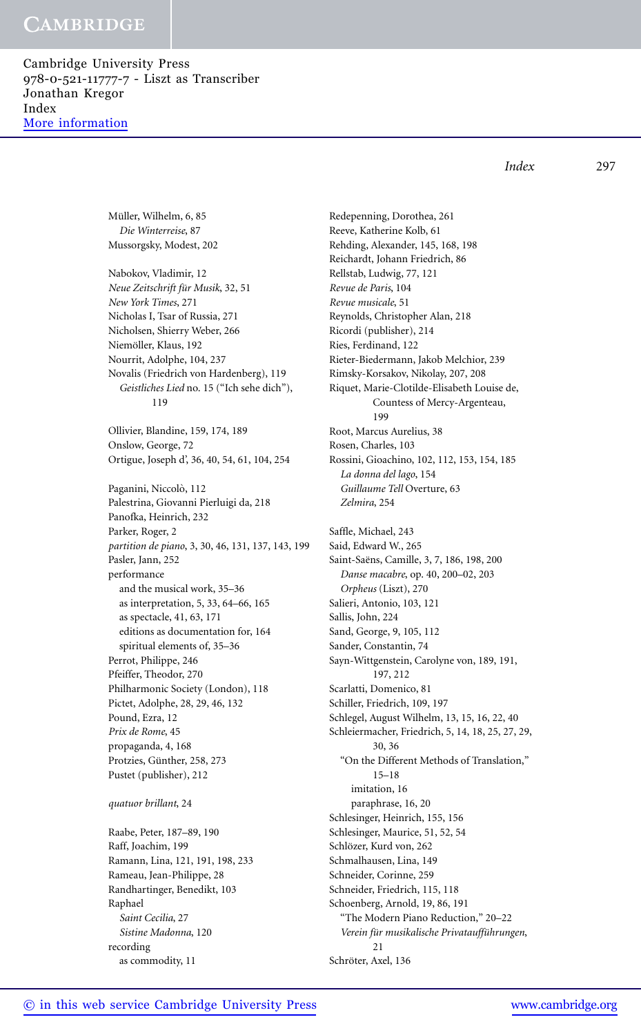Cambridge University Press 978-0-521-11777-7 - Liszt as Transcriber Jonathan Kregor Index [More information](http://www.cambridge.org/9780521117777)

*Index* 297

Müller, Wilhelm, 6, 85 *Die Winterreise*, 87 Mussorgsky, Modest, 202 Nabokov, Vladimir, 12 *Neue Zeitschrift für Musik*, 32, 51 *New York Times*, 271 Nicholas I, Tsar of Russia, 271 Nicholsen, Shierry Weber, 266 Niemöller, Klaus, 192 Nourrit, Adolphe, 104, 237 Novalis (Friedrich von Hardenberg), 119 *Geistliches Lied* no. 15 ("Ich sehe dich"), 119 Ollivier, Blandine, 159, 174, 189 Onslow, George, 72 Ortigue, Joseph d', 36, 40, 54, 61, 104, 254 Paganini, Niccolò, 112 Palestrina, Giovanni Pierluigi da, 218 Panofka, Heinrich, 232 Parker, Roger, 2 *partition de piano*, 3, 30, 46, 131, 137, 143, 199 Pasler, Jann, 252 performance and the musical work, 35–36 as interpretation, 5, 33, 64–66, 165 as spectacle, 41, 63, 171 editions as documentation for, 164 spiritual elements of, 35–36 Perrot, Philippe, 246 Pfeiffer, Theodor, 270 Philharmonic Society (London), 118 Pictet, Adolphe, 28, 29, 46, 132 Pound, Ezra, 12 *Prix de Rome*, 45 propaganda, 4, 168 Protzies, Günther, 258, 273 Pustet (publisher), 212

### *quatuor brillant*, 24

Raabe, Peter, 187–89, 190 Raff, Joachim, 199 Ramann, Lina, 121, 191, 198, 233 Rameau, Jean-Philippe, 28 Randhartinger, Benedikt, 103 Raphael *Saint Cecilia*, 27 *Sistine Madonna*, 120 recording as commodity, 11

Redepenning, Dorothea, 261 Reeve, Katherine Kolb, 61 Rehding, Alexander, 145, 168, 198 Reichardt, Johann Friedrich, 86 Rellstab, Ludwig, 77, 121 *Revue de Paris*, 104 *Revue musicale*, 51 Reynolds, Christopher Alan, 218 Ricordi (publisher), 214 Ries, Ferdinand, 122 Rieter-Biedermann, Jakob Melchior, 239 Rimsky-Korsakov, Nikolay, 207, 208 Riquet, Marie-Clotilde-Elisabeth Louise de, Countess of Mercy-Argenteau, 199 Root, Marcus Aurelius, 38 Rosen, Charles, 103 Rossini, Gioachino, 102, 112, 153, 154, 185 *La donna del lago*, 154 *Guillaume Tell* Overture, 63 *Zelmira*, 254 Saffle, Michael, 243 Said, Edward W., 265 Saint-Saëns, Camille, 3, 7, 186, 198, 200 *Danse macabre*, op. 40, 200–02, 203 *Orpheus* (Liszt), 270 Salieri, Antonio, 103, 121 Sallis, John, 224 Sand, George, 9, 105, 112 Sander, Constantin, 74 Sayn-Wittgenstein, Carolyne von, 189, 191, 197, 212 Scarlatti, Domenico, 81 Schiller, Friedrich, 109, 197 Schlegel, August Wilhelm, 13, 15, 16, 22, 40 Schleiermacher, Friedrich, 5, 14, 18, 25, 27, 29, 30, 36 "On the Different Methods of Translation," 15–18 imitation, 16 paraphrase, 16, 20 Schlesinger, Heinrich, 155, 156 Schlesinger, Maurice, 51, 52, 54 Schlözer, Kurd von, 262 Schmalhausen, Lina, 149 Schneider, Corinne, 259 Schneider, Friedrich, 115, 118 Schoenberg, Arnold, 19, 86, 191 "The Modern Piano Reduction," 20–22 *Verein fur musikalische Privatauff ¨ uhrungen ¨* , 21 Schröter, Axel, 136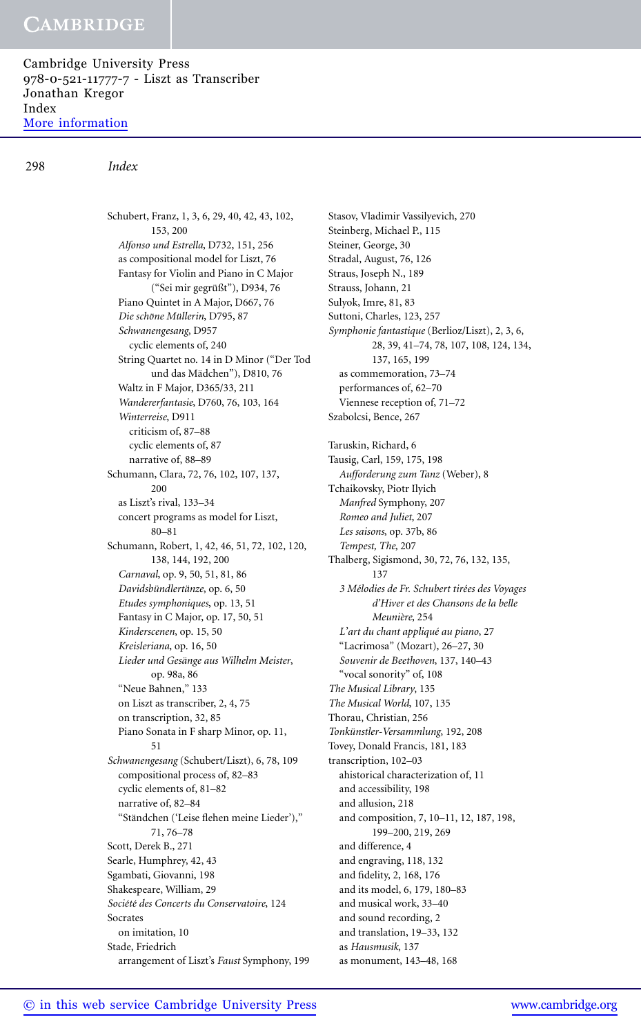Cambridge University Press 978-0-521-11777-7 - Liszt as Transcriber Jonathan Kregor Index [More information](http://www.cambridge.org/9780521117777)

298 *Index*

Schubert, Franz, 1, 3, 6, 29, 40, 42, 43, 102, 153, 200 *Alfonso und Estrella*, D732, 151, 256 as compositional model for Liszt, 76 Fantasy for Violin and Piano in C Major ("Sei mir gegrüßt"), D934, 76 Piano Quintet in A Major, D667, 76  $Die$  *schöne Müllerin*, D795, 87 *Schwanengesang*, D957 cyclic elements of, 240 String Quartet no. 14 in D Minor ("Der Tod und das Mädchen"), D810, 76 Waltz in F Major, D365/33, 211 *Wandererfantasie*, D760, 76, 103, 164 *Winterreise*, D911 criticism of, 87–88 cyclic elements of, 87 narrative of, 88–89 Schumann, Clara, 72, 76, 102, 107, 137, 200 as Liszt's rival, 133–34 concert programs as model for Liszt, 80–81 Schumann, Robert, 1, 42, 46, 51, 72, 102, 120, 138, 144, 192, 200 *Carnaval*, op. 9, 50, 51, 81, 86 *Davidsbündlertänze*, op. 6, 50 *Etudes symphoniques*, op. 13, 51 Fantasy in C Major, op. 17, 50, 51 *Kinderscenen*, op. 15, 50 *Kreisleriana*, op. 16, 50  $Lieder$  und Gesänge aus Wilhelm Meister, op. 98a, 86 "Neue Bahnen," 133 on Liszt as transcriber, 2, 4, 75 on transcription, 32, 85 Piano Sonata in F sharp Minor, op. 11, 51 *Schwanengesang* (Schubert/Liszt), 6, 78, 109 compositional process of, 82–83 cyclic elements of, 81–82 narrative of, 82–84 "Standchen ('Leise flehen meine Lieder')," ¨ 71, 76–78 Scott, Derek B., 271 Searle, Humphrey, 42, 43 Sgambati, Giovanni, 198 Shakespeare, William, 29 *Soci´et´e des Concerts du Conservatoire*, 124 Socrates on imitation, 10 Stade, Friedrich arrangement of Liszt's *Faust* Symphony, 199

Stasov, Vladimir Vassilyevich, 270 Steinberg, Michael P., 115 Steiner, George, 30 Stradal, August, 76, 126 Straus, Joseph N., 189 Strauss, Johann, 21 Sulyok, Imre, 81, 83 Suttoni, Charles, 123, 257 *Symphonie fantastique* (Berlioz/Liszt), 2, 3, 6, 28, 39, 41–74, 78, 107, 108, 124, 134, 137, 165, 199 as commemoration, 73–74 performances of, 62–70 Viennese reception of, 71–72 Szabolcsi, Bence, 267 Taruskin, Richard, 6 Tausig, Carl, 159, 175, 198 *Aufforderung zum Tanz* (Weber), 8 Tchaikovsky, Piotr Ilyich *Manfred* Symphony, 207 *Romeo and Juliet*, 207 *Les saisons*, op. 37b, 86 *Tempest, The*, 207 Thalberg, Sigismond, 30, 72, 76, 132, 135, 137 *3 M´elodies de Fr. Schubert tir´ees des Voyages d'Hiver et des Chansons de la belle Meuni`ere*, 254 *L'art du chant appliqu´e au piano*, 27 "Lacrimosa" (Mozart), 26–27, 30 *Souvenir de Beethoven*, 137, 140–43 "vocal sonority" of, 108 *The Musical Library*, 135 *The Musical World*, 107, 135 Thorau, Christian, 256 *Tonkunstler-Versammlung ¨* , 192, 208 Tovey, Donald Francis, 181, 183 transcription, 102–03 ahistorical characterization of, 11 and accessibility, 198 and allusion, 218 and composition, 7, 10–11, 12, 187, 198, 199–200, 219, 269 and difference, 4 and engraving, 118, 132 and fidelity, 2, 168, 176 and its model, 6, 179, 180–83 and musical work, 33–40 and sound recording, 2 and translation, 19–33, 132 as *Hausmusik*, 137 as monument, 143–48, 168